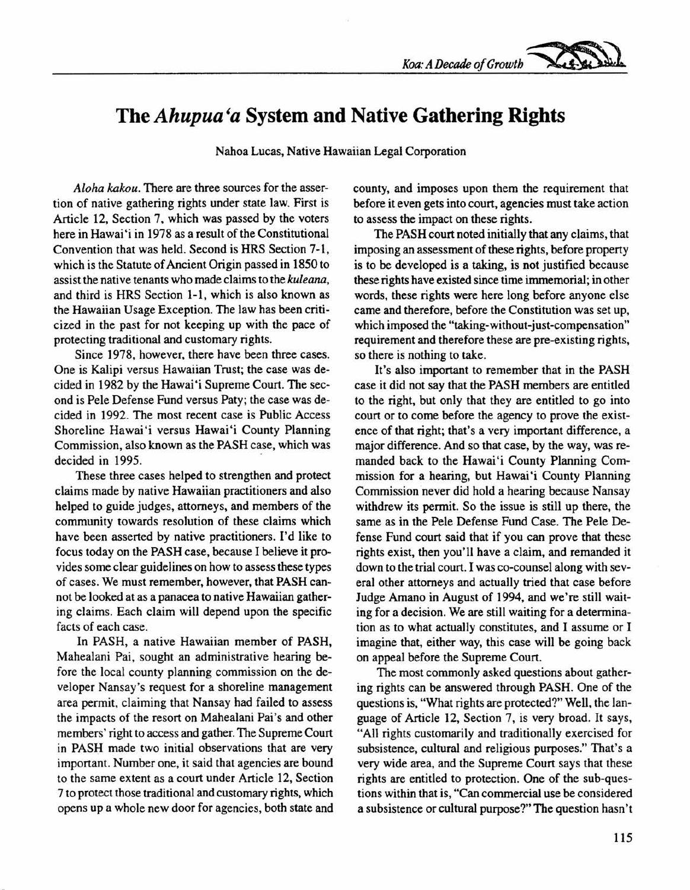

## **The** *Ahupua 'a* **System and Native Gathering Rights**

Nahoa Lucas, Native Hawaiian Legal Corporation

*Aloha kakou.* There are three sources for the assertion of native gathering rights under state law. First is Article 12, Section 7, which was passed by the voters here in Hawai'i in 1978 as a result of the Constitutional Convention that was held. Second is HRS Section 7-1, which is the Statute of Ancient Origin passed in 1850 to assist the native tenants who made claims to the *kuleana,* and third is HRS Section 1-1, which is also known as the Hawaiian Usage Exception. The law has been criticized in the past for not keeping up with the pace of protecting traditional and customary rights.

Since 1978, however, there have been three cases. One is Kalipi versus Hawaiian Trust; the case was decided in 1982 by the Hawai'i Supreme Court. The second is Pele Defense Fund versus Paty; the case was decided in 1992. The most recent case is Public Access Shoreline Hawai'i versus Hawai'i County Planning Commission, also known as the PASH case, which was decided in 1995.

These three cases helped to strengthen and protect claims made by native Hawaiian practitioners and also helped to guide judges, attorneys, and members of the community towards resolution of these claims which have been asserted by native practitioners. I'd like to focus today on the PASH case, because I believe it provides some clear guidelines on how to assess these types of cases. We must remember, however, that PASH cannot be looked at as a panacea to native Hawaiian gathering claims. Each claim will depend upon the specific facts of each case.

In PASH, a native Hawaiian member of PASH, Mahealani Pai, sought an administrative hearing before the local county planning commission on the developer Nansay's request for a shoreline management area permit, claiming that Nansay had failed to assess the impacts of the resort on Mahealani Pai's and other members' right to access and gather. The Supreme Court in PASH made two initial observations that are very important. Number one, it said that agencies are bound to the same extent as a court under Article 12, Section 7 to protect those traditional and customary rights, which opens up a whole new door for agencies, both state and county, and imposes upon them the requirement that before it even gets into court, agencies must take action to assess the impact on these rights.

The PASH court noted initially that any claims, that imposing an assessment of these rights, before property is to be developed is a taking, is not justified because these rights have existed since time immemorial; in other words, these rights were here long before anyone else came and therefore, before the Constitution was set up, which imposed the "taking-without-just-compensation" requirement and therefore these are pre-existing rights, so there is nothing to take.

It's also important to remember that in the PASH case it did not say that the PASH members are entitled to the right, but only that they are entitled to go into court or to come before the agency to prove the existence of that right; that's a very important difference, a major difference. And so that case, by the way, was remanded back to the Hawai'i County Planning Commission for a hearing, but Hawai'i County Planning Commission never did hold a hearing because Nansay withdrew its permit. So the issue is still up there, the same as in the Pele Defense Fund Case. The Pele Defense Fund court said that if you can prove that these rights exist, then you'll have a claim, and remanded it down to the trial court. I was co-counsel along with several other attorneys and actually tried that case before Judge Amano in August of 1994, and we're still waiting for a decision. We are still waiting for a determination as to what actually constitutes, and I assume or I imagine that, either way, this case will be going back on appeal before the Supreme Court.

The most commonly asked questions about gathering rights can be answered through PASH. One of the questions is, "What rights are protected?" Well, the language of Article 12, Section 7, is very broad. It says, "All rights customarily and traditionally exercised for subsistence, cultural and religious purposes." That's a very wide area, and the Supreme Court says that these rights are entitled to protection. One of the sub-questions within that is, "Can commercial use be considered a subsistence or cultural purpose?" The question hasn't